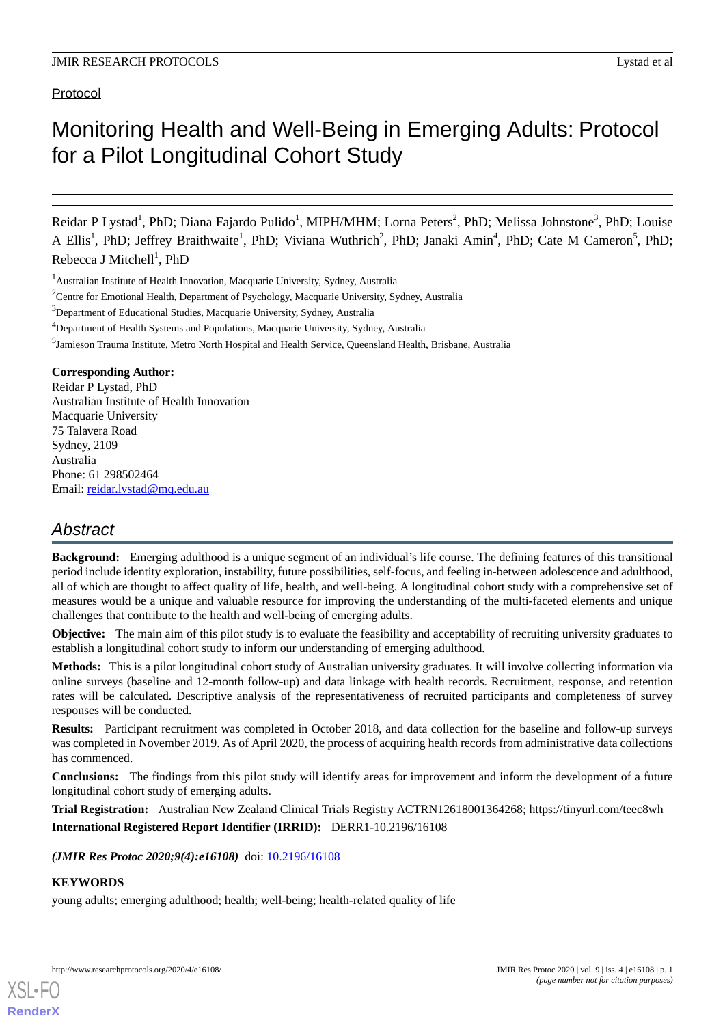# Protocol

# Monitoring Health and Well-Being in Emerging Adults: Protocol for a Pilot Longitudinal Cohort Study

Reidar P Lystad<sup>1</sup>, PhD; Diana Fajardo Pulido<sup>1</sup>, MIPH/MHM; Lorna Peters<sup>2</sup>, PhD; Melissa Johnstone<sup>3</sup>, PhD; Louise A Ellis<sup>1</sup>, PhD; Jeffrey Braithwaite<sup>1</sup>, PhD; Viviana Wuthrich<sup>2</sup>, PhD; Janaki Amin<sup>4</sup>, PhD; Cate M Cameron<sup>5</sup>, PhD; Rebecca J Mitchell<sup>1</sup>, PhD

# **Corresponding Author:**

Reidar P Lystad, PhD Australian Institute of Health Innovation Macquarie University 75 Talavera Road Sydney, 2109 Australia Phone: 61 298502464 Email: [reidar.lystad@mq.edu.au](mailto:reidar.lystad@mq.edu.au)

# *Abstract*

**Background:** Emerging adulthood is a unique segment of an individual's life course. The defining features of this transitional period include identity exploration, instability, future possibilities, self-focus, and feeling in-between adolescence and adulthood, all of which are thought to affect quality of life, health, and well-being. A longitudinal cohort study with a comprehensive set of measures would be a unique and valuable resource for improving the understanding of the multi-faceted elements and unique challenges that contribute to the health and well-being of emerging adults.

**Objective:** The main aim of this pilot study is to evaluate the feasibility and acceptability of recruiting university graduates to establish a longitudinal cohort study to inform our understanding of emerging adulthood.

**Methods:** This is a pilot longitudinal cohort study of Australian university graduates. It will involve collecting information via online surveys (baseline and 12-month follow-up) and data linkage with health records. Recruitment, response, and retention rates will be calculated. Descriptive analysis of the representativeness of recruited participants and completeness of survey responses will be conducted.

**Results:** Participant recruitment was completed in October 2018, and data collection for the baseline and follow-up surveys was completed in November 2019. As of April 2020, the process of acquiring health records from administrative data collections has commenced.

**Conclusions:** The findings from this pilot study will identify areas for improvement and inform the development of a future longitudinal cohort study of emerging adults.

**Trial Registration:** Australian New Zealand Clinical Trials Registry ACTRN12618001364268; https://tinyurl.com/teec8wh **International Registered Report Identifier (IRRID):** DERR1-10.2196/16108

(JMIR Res Protoc 2020;9(4):e16108) doi: [10.2196/16108](http://dx.doi.org/10.2196/16108)

# **KEYWORDS**

[XSL](http://www.w3.org/Style/XSL)•FO **[RenderX](http://www.renderx.com/)**

young adults; emerging adulthood; health; well-being; health-related quality of life

<sup>1</sup>Australian Institute of Health Innovation, Macquarie University, Sydney, Australia

<sup>&</sup>lt;sup>2</sup>Centre for Emotional Health, Department of Psychology, Macquarie University, Sydney, Australia

<sup>3</sup>Department of Educational Studies, Macquarie University, Sydney, Australia

<sup>4</sup>Department of Health Systems and Populations, Macquarie University, Sydney, Australia

<sup>&</sup>lt;sup>5</sup>Jamieson Trauma Institute, Metro North Hospital and Health Service, Queensland Health, Brisbane, Australia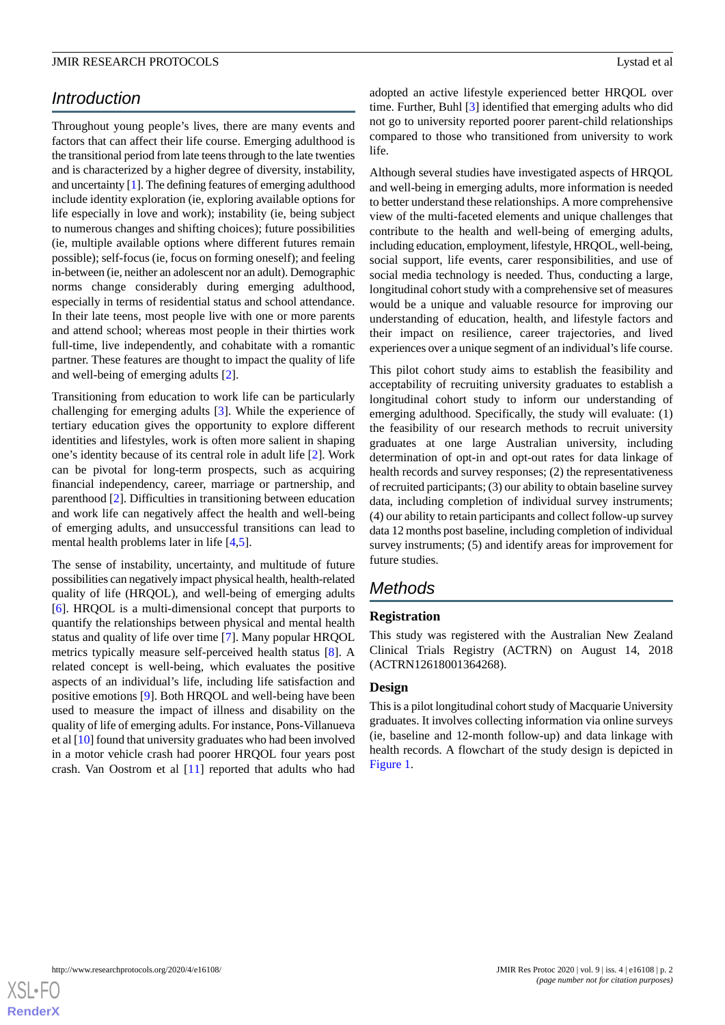# *Introduction*

Throughout young people's lives, there are many events and factors that can affect their life course. Emerging adulthood is the transitional period from late teens through to the late twenties and is characterized by a higher degree of diversity, instability, and uncertainty [[1](#page-6-0)]. The defining features of emerging adulthood include identity exploration (ie, exploring available options for life especially in love and work); instability (ie, being subject to numerous changes and shifting choices); future possibilities (ie, multiple available options where different futures remain possible); self-focus (ie, focus on forming oneself); and feeling in-between (ie, neither an adolescent nor an adult). Demographic norms change considerably during emerging adulthood, especially in terms of residential status and school attendance. In their late teens, most people live with one or more parents and attend school; whereas most people in their thirties work full-time, live independently, and cohabitate with a romantic partner. These features are thought to impact the quality of life and well-being of emerging adults [\[2](#page-6-1)].

Transitioning from education to work life can be particularly challenging for emerging adults [\[3](#page-6-2)]. While the experience of tertiary education gives the opportunity to explore different identities and lifestyles, work is often more salient in shaping one's identity because of its central role in adult life [\[2](#page-6-1)]. Work can be pivotal for long-term prospects, such as acquiring financial independency, career, marriage or partnership, and parenthood [\[2](#page-6-1)]. Difficulties in transitioning between education and work life can negatively affect the health and well-being of emerging adults, and unsuccessful transitions can lead to mental health problems later in life [[4,](#page-6-3)[5](#page-6-4)].

The sense of instability, uncertainty, and multitude of future possibilities can negatively impact physical health, health-related quality of life (HRQOL), and well-being of emerging adults [[6\]](#page-6-5). HRQOL is a multi-dimensional concept that purports to quantify the relationships between physical and mental health status and quality of life over time [\[7](#page-6-6)]. Many popular HRQOL metrics typically measure self-perceived health status [[8\]](#page-6-7). A related concept is well-being, which evaluates the positive aspects of an individual's life, including life satisfaction and positive emotions [\[9](#page-6-8)]. Both HRQOL and well-being have been used to measure the impact of illness and disability on the quality of life of emerging adults. For instance, Pons-Villanueva et al [\[10\]](#page-6-9) found that university graduates who had been involved in a motor vehicle crash had poorer HRQOL four years post crash. Van Oostrom et al [\[11](#page-6-10)] reported that adults who had

adopted an active lifestyle experienced better HRQOL over time. Further, Buhl [\[3](#page-6-2)] identified that emerging adults who did not go to university reported poorer parent-child relationships compared to those who transitioned from university to work life.

Although several studies have investigated aspects of HRQOL and well-being in emerging adults, more information is needed to better understand these relationships. A more comprehensive view of the multi-faceted elements and unique challenges that contribute to the health and well-being of emerging adults, including education, employment, lifestyle, HRQOL, well-being, social support, life events, carer responsibilities, and use of social media technology is needed. Thus, conducting a large, longitudinal cohort study with a comprehensive set of measures would be a unique and valuable resource for improving our understanding of education, health, and lifestyle factors and their impact on resilience, career trajectories, and lived experiences over a unique segment of an individual's life course.

This pilot cohort study aims to establish the feasibility and acceptability of recruiting university graduates to establish a longitudinal cohort study to inform our understanding of emerging adulthood. Specifically, the study will evaluate: (1) the feasibility of our research methods to recruit university graduates at one large Australian university, including determination of opt-in and opt-out rates for data linkage of health records and survey responses; (2) the representativeness of recruited participants; (3) our ability to obtain baseline survey data, including completion of individual survey instruments; (4) our ability to retain participants and collect follow-up survey data 12 months post baseline, including completion of individual survey instruments; (5) and identify areas for improvement for future studies.

# *Methods*

# **Registration**

This study was registered with the Australian New Zealand Clinical Trials Registry (ACTRN) on August 14, 2018 (ACTRN12618001364268).

# **Design**

This is a pilot longitudinal cohort study of Macquarie University graduates. It involves collecting information via online surveys (ie, baseline and 12-month follow-up) and data linkage with health records. A flowchart of the study design is depicted in [Figure 1](#page-2-0).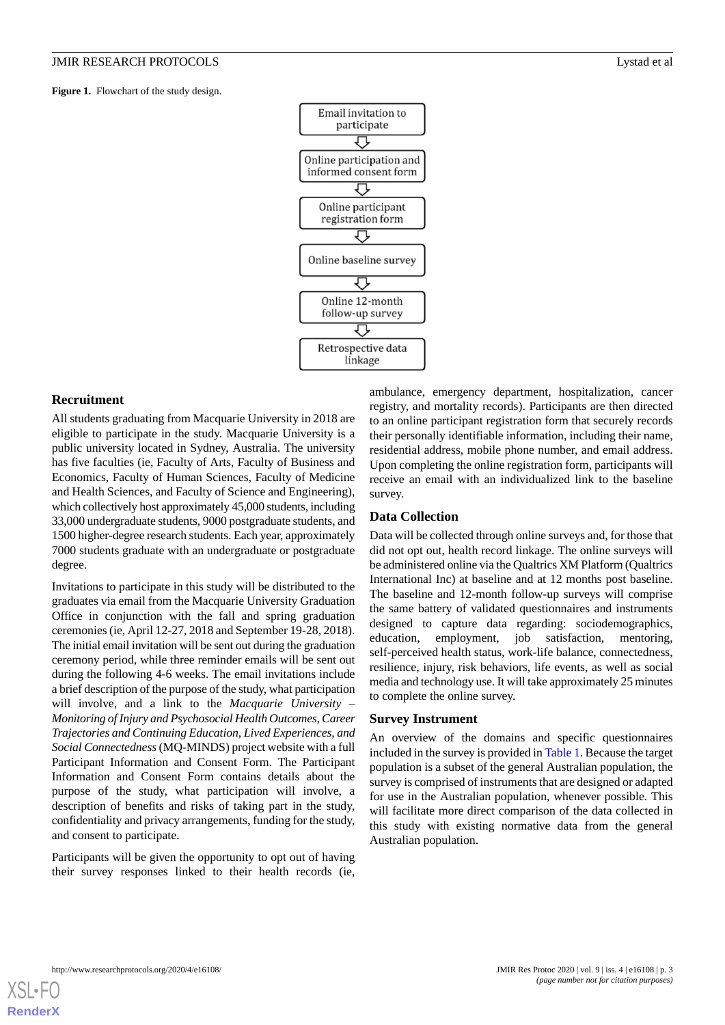<span id="page-2-0"></span>Figure 1. Flowchart of the study design.



# **Recruitment**

All students graduating from Macquarie University in 2018 are eligible to participate in the study. Macquarie University is a public university located in Sydney, Australia. The university has five faculties (ie, Faculty of Arts, Faculty of Business and Economics, Faculty of Human Sciences, Faculty of Medicine and Health Sciences, and Faculty of Science and Engineering), which collectively host approximately 45,000 students, including 33,000 undergraduate students, 9000 postgraduate students, and 1500 higher-degree research students. Each year, approximately 7000 students graduate with an undergraduate or postgraduate degree.

Invitations to participate in this study will be distributed to the graduates via email from the Macquarie University Graduation Office in conjunction with the fall and spring graduation ceremonies (ie, April 12-27, 2018 and September 19-28, 2018). The initial email invitation will be sent out during the graduation ceremony period, while three reminder emails will be sent out during the following 4-6 weeks. The email invitations include a brief description of the purpose of the study, what participation will involve, and a link to the *Macquarie University – Monitoring of Injury and Psychosocial Health Outcomes, Career Trajectories and Continuing Education, Lived Experiences, and Social Connectedness*(MQ-MINDS) project website with a full Participant Information and Consent Form. The Participant Information and Consent Form contains details about the purpose of the study, what participation will involve, a description of benefits and risks of taking part in the study, confidentiality and privacy arrangements, funding for the study, and consent to participate.

Participants will be given the opportunity to opt out of having their survey responses linked to their health records (ie, ambulance, emergency department, hospitalization, cancer registry, and mortality records). Participants are then directed to an online participant registration form that securely records their personally identifiable information, including their name, residential address, mobile phone number, and email address. Upon completing the online registration form, participants will receive an email with an individualized link to the baseline survey.

# **Data Collection**

Data will be collected through online surveys and, for those that did not opt out, health record linkage. The online surveys will be administered online via the Qualtrics XM Platform (Qualtrics International Inc) at baseline and at 12 months post baseline. The baseline and 12-month follow-up surveys will comprise the same battery of validated questionnaires and instruments designed to capture data regarding: sociodemographics, education, employment, job satisfaction, mentoring, self-perceived health status, work-life balance, connectedness, resilience, injury, risk behaviors, life events, as well as social media and technology use. It will take approximately 25 minutes to complete the online survey.

#### **Survey Instrument**

An overview of the domains and specific questionnaires included in the survey is provided in [Table 1](#page-3-0). Because the target population is a subset of the general Australian population, the survey is comprised of instruments that are designed or adapted for use in the Australian population, whenever possible. This will facilitate more direct comparison of the data collected in this study with existing normative data from the general Australian population.

[XSL](http://www.w3.org/Style/XSL)•FO **[RenderX](http://www.renderx.com/)**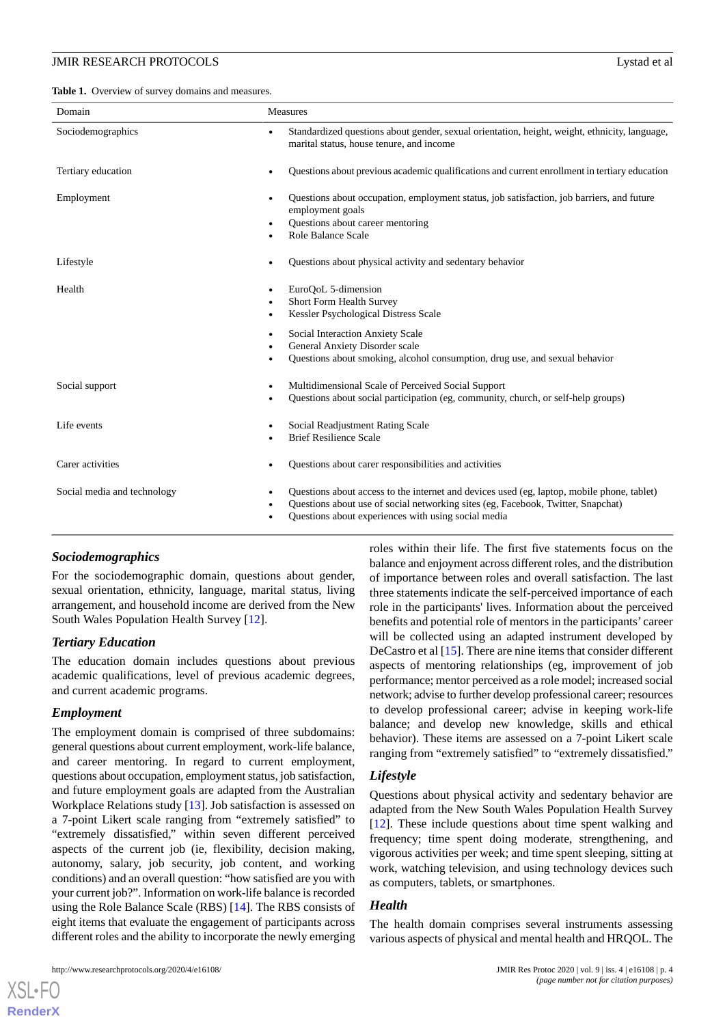<span id="page-3-0"></span>Table 1. Overview of survey domains and measures.

| Domain                      | Measures                                                                                                                                                                                                                              |
|-----------------------------|---------------------------------------------------------------------------------------------------------------------------------------------------------------------------------------------------------------------------------------|
| Sociodemographics           | Standardized questions about gender, sexual orientation, height, weight, ethnicity, language,<br>marital status, house tenure, and income                                                                                             |
| Tertiary education          | Questions about previous academic qualifications and current enrollment in tertiary education                                                                                                                                         |
| Employment                  | Questions about occupation, employment status, job satisfaction, job barriers, and future<br>employment goals<br>Questions about career mentoring<br>Role Balance Scale                                                               |
| Lifestyle                   | Questions about physical activity and sedentary behavior                                                                                                                                                                              |
| Health                      | EuroQoL 5-dimension<br><b>Short Form Health Survey</b><br>Kessler Psychological Distress Scale                                                                                                                                        |
|                             | Social Interaction Anxiety Scale<br>General Anxiety Disorder scale<br>Questions about smoking, alcohol consumption, drug use, and sexual behavior                                                                                     |
| Social support              | Multidimensional Scale of Perceived Social Support<br>Questions about social participation (eg, community, church, or self-help groups)                                                                                               |
| Life events                 | Social Readjustment Rating Scale<br><b>Brief Resilience Scale</b>                                                                                                                                                                     |
| Carer activities            | Questions about carer responsibilities and activities                                                                                                                                                                                 |
| Social media and technology | Questions about access to the internet and devices used (eg, laptop, mobile phone, tablet)<br>Questions about use of social networking sites (eg, Facebook, Twitter, Snapchat)<br>Questions about experiences with using social media |

# *Sociodemographics*

For the sociodemographic domain, questions about gender, sexual orientation, ethnicity, language, marital status, living arrangement, and household income are derived from the New South Wales Population Health Survey [[12\]](#page-6-11).

# *Tertiary Education*

The education domain includes questions about previous academic qualifications, level of previous academic degrees, and current academic programs.

# *Employment*

The employment domain is comprised of three subdomains: general questions about current employment, work-life balance, and career mentoring. In regard to current employment, questions about occupation, employment status, job satisfaction, and future employment goals are adapted from the Australian Workplace Relations study [[13\]](#page-6-12). Job satisfaction is assessed on a 7-point Likert scale ranging from "extremely satisfied" to "extremely dissatisfied," within seven different perceived aspects of the current job (ie, flexibility, decision making, autonomy, salary, job security, job content, and working conditions) and an overall question: "how satisfied are you with your current job?". Information on work-life balance is recorded using the Role Balance Scale (RBS) [\[14](#page-6-13)]. The RBS consists of eight items that evaluate the engagement of participants across different roles and the ability to incorporate the newly emerging

roles within their life. The first five statements focus on the balance and enjoyment across different roles, and the distribution of importance between roles and overall satisfaction. The last three statements indicate the self-perceived importance of each role in the participants' lives. Information about the perceived benefits and potential role of mentors in the participants' career will be collected using an adapted instrument developed by DeCastro et al [\[15](#page-7-0)]. There are nine items that consider different aspects of mentoring relationships (eg, improvement of job performance; mentor perceived as a role model; increased social network; advise to further develop professional career; resources to develop professional career; advise in keeping work-life balance; and develop new knowledge, skills and ethical behavior). These items are assessed on a 7-point Likert scale ranging from "extremely satisfied" to "extremely dissatisfied."

# *Lifestyle*

Questions about physical activity and sedentary behavior are adapted from the New South Wales Population Health Survey [[12\]](#page-6-11). These include questions about time spent walking and frequency; time spent doing moderate, strengthening, and vigorous activities per week; and time spent sleeping, sitting at work, watching television, and using technology devices such as computers, tablets, or smartphones.

# *Health*

The health domain comprises several instruments assessing various aspects of physical and mental health and HRQOL. The

[XSL](http://www.w3.org/Style/XSL)•FO **[RenderX](http://www.renderx.com/)**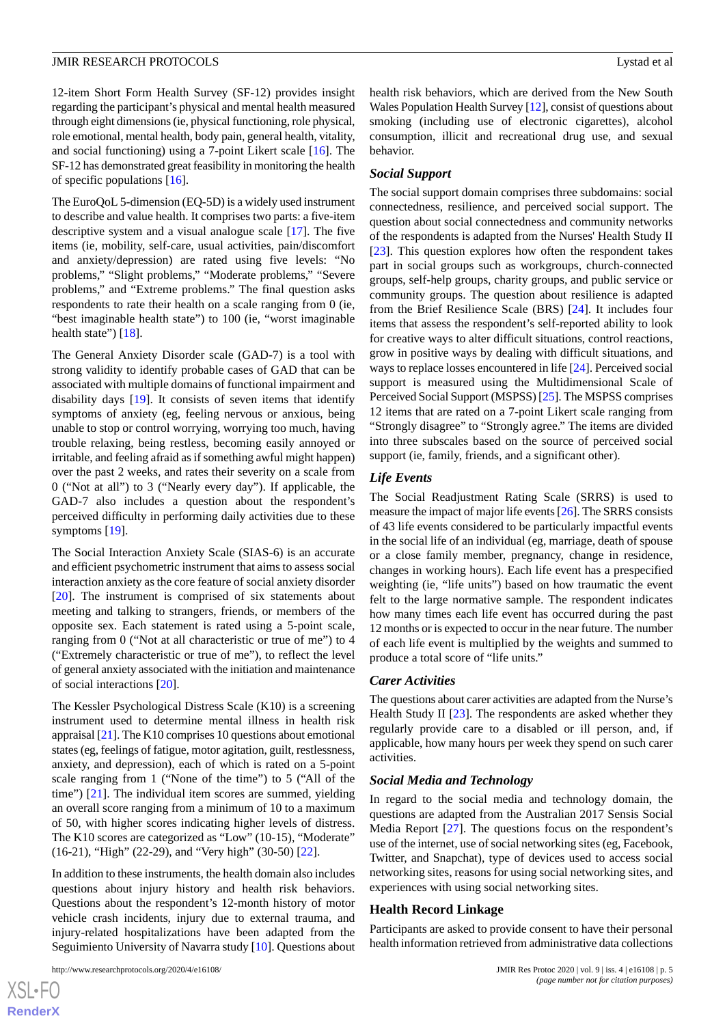12-item Short Form Health Survey (SF-12) provides insight regarding the participant's physical and mental health measured through eight dimensions (ie, physical functioning, role physical, role emotional, mental health, body pain, general health, vitality, and social functioning) using a 7-point Likert scale [\[16](#page-7-1)]. The SF-12 has demonstrated great feasibility in monitoring the health of specific populations [\[16](#page-7-1)].

The EuroQoL 5-dimension (EQ-5D) is a widely used instrument to describe and value health. It comprises two parts: a five-item descriptive system and a visual analogue scale [[17\]](#page-7-2). The five items (ie, mobility, self-care, usual activities, pain/discomfort and anxiety/depression) are rated using five levels: "No problems," "Slight problems," "Moderate problems," "Severe problems," and "Extreme problems." The final question asks respondents to rate their health on a scale ranging from 0 (ie, "best imaginable health state") to 100 (ie, "worst imaginable health state") [\[18](#page-7-3)].

The General Anxiety Disorder scale (GAD-7) is a tool with strong validity to identify probable cases of GAD that can be associated with multiple domains of functional impairment and disability days [[19\]](#page-7-4). It consists of seven items that identify symptoms of anxiety (eg, feeling nervous or anxious, being unable to stop or control worrying, worrying too much, having trouble relaxing, being restless, becoming easily annoyed or irritable, and feeling afraid as if something awful might happen) over the past 2 weeks, and rates their severity on a scale from 0 ("Not at all") to 3 ("Nearly every day"). If applicable, the GAD-7 also includes a question about the respondent's perceived difficulty in performing daily activities due to these symptoms [[19\]](#page-7-4).

The Social Interaction Anxiety Scale (SIAS-6) is an accurate and efficient psychometric instrument that aims to assess social interaction anxiety as the core feature of social anxiety disorder [[20\]](#page-7-5). The instrument is comprised of six statements about meeting and talking to strangers, friends, or members of the opposite sex. Each statement is rated using a 5-point scale, ranging from 0 ("Not at all characteristic or true of me") to 4 ("Extremely characteristic or true of me"), to reflect the level of general anxiety associated with the initiation and maintenance of social interactions [[20\]](#page-7-5).

The Kessler Psychological Distress Scale (K10) is a screening instrument used to determine mental illness in health risk appraisal [\[21\]](#page-7-6). The K10 comprises 10 questions about emotional states (eg, feelings of fatigue, motor agitation, guilt, restlessness, anxiety, and depression), each of which is rated on a 5-point scale ranging from 1 ("None of the time") to 5 ("All of the time") [\[21](#page-7-6)]. The individual item scores are summed, yielding an overall score ranging from a minimum of 10 to a maximum of 50, with higher scores indicating higher levels of distress. The K10 scores are categorized as "Low" (10-15), "Moderate" (16-21), "High" (22-29), and "Very high" (30-50) [\[22](#page-7-7)].

In addition to these instruments, the health domain also includes questions about injury history and health risk behaviors. Questions about the respondent's 12-month history of motor vehicle crash incidents, injury due to external trauma, and injury-related hospitalizations have been adapted from the Seguimiento University of Navarra study [[10\]](#page-6-9). Questions about

http://www.researchprotocols.org/2020/4/e16108/ JMIR Res Protoc 2020 | vol. 9 | iss. 4 | e16108 | p. 5

health risk behaviors, which are derived from the New South Wales Population Health Survey [\[12\]](#page-6-11), consist of questions about smoking (including use of electronic cigarettes), alcohol consumption, illicit and recreational drug use, and sexual behavior.

#### *Social Support*

The social support domain comprises three subdomains: social connectedness, resilience, and perceived social support. The question about social connectedness and community networks of the respondents is adapted from the Nurses' Health Study II [[23\]](#page-7-8). This question explores how often the respondent takes part in social groups such as workgroups, church-connected groups, self-help groups, charity groups, and public service or community groups. The question about resilience is adapted from the Brief Resilience Scale (BRS) [[24\]](#page-7-9). It includes four items that assess the respondent's self-reported ability to look for creative ways to alter difficult situations, control reactions, grow in positive ways by dealing with difficult situations, and ways to replace losses encountered in life [\[24\]](#page-7-9). Perceived social support is measured using the Multidimensional Scale of Perceived Social Support (MSPSS) [[25\]](#page-7-10). The MSPSS comprises 12 items that are rated on a 7-point Likert scale ranging from "Strongly disagree" to "Strongly agree." The items are divided into three subscales based on the source of perceived social support (ie, family, friends, and a significant other).

# *Life Events*

The Social Readjustment Rating Scale (SRRS) is used to measure the impact of major life events [[26\]](#page-7-11). The SRRS consists of 43 life events considered to be particularly impactful events in the social life of an individual (eg, marriage, death of spouse or a close family member, pregnancy, change in residence, changes in working hours). Each life event has a prespecified weighting (ie, "life units") based on how traumatic the event felt to the large normative sample. The respondent indicates how many times each life event has occurred during the past 12 months or is expected to occur in the near future. The number of each life event is multiplied by the weights and summed to produce a total score of "life units."

#### *Carer Activities*

The questions about carer activities are adapted from the Nurse's Health Study II [\[23](#page-7-8)]. The respondents are asked whether they regularly provide care to a disabled or ill person, and, if applicable, how many hours per week they spend on such carer activities.

#### *Social Media and Technology*

In regard to the social media and technology domain, the questions are adapted from the Australian 2017 Sensis Social Media Report [\[27](#page-7-12)]. The questions focus on the respondent's use of the internet, use of social networking sites (eg, Facebook, Twitter, and Snapchat), type of devices used to access social networking sites, reasons for using social networking sites, and experiences with using social networking sites.

#### **Health Record Linkage**

Participants are asked to provide consent to have their personal health information retrieved from administrative data collections

 $XSJ \cdot F$ **[RenderX](http://www.renderx.com/)**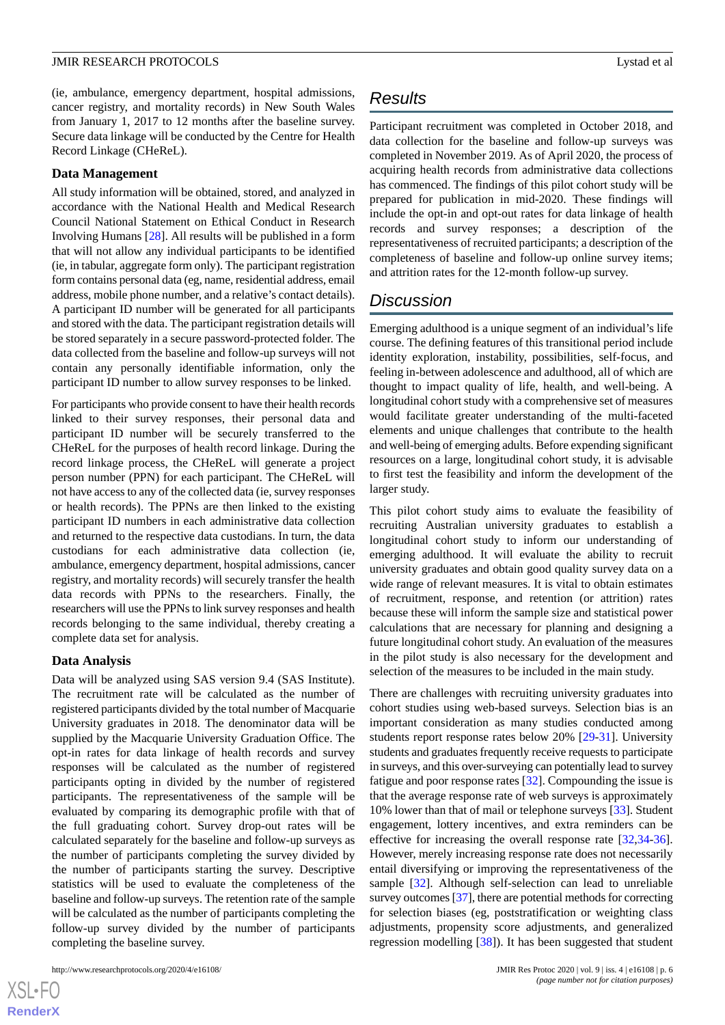(ie, ambulance, emergency department, hospital admissions, cancer registry, and mortality records) in New South Wales from January 1, 2017 to 12 months after the baseline survey. Secure data linkage will be conducted by the Centre for Health Record Linkage (CHeReL).

#### **Data Management**

All study information will be obtained, stored, and analyzed in accordance with the National Health and Medical Research Council National Statement on Ethical Conduct in Research Involving Humans [\[28](#page-7-13)]. All results will be published in a form that will not allow any individual participants to be identified (ie, in tabular, aggregate form only). The participant registration form contains personal data (eg, name, residential address, email address, mobile phone number, and a relative's contact details). A participant ID number will be generated for all participants and stored with the data. The participant registration details will be stored separately in a secure password-protected folder. The data collected from the baseline and follow-up surveys will not contain any personally identifiable information, only the participant ID number to allow survey responses to be linked.

For participants who provide consent to have their health records linked to their survey responses, their personal data and participant ID number will be securely transferred to the CHeReL for the purposes of health record linkage. During the record linkage process, the CHeReL will generate a project person number (PPN) for each participant. The CHeReL will not have access to any of the collected data (ie, survey responses or health records). The PPNs are then linked to the existing participant ID numbers in each administrative data collection and returned to the respective data custodians. In turn, the data custodians for each administrative data collection (ie, ambulance, emergency department, hospital admissions, cancer registry, and mortality records) will securely transfer the health data records with PPNs to the researchers. Finally, the researchers will use the PPNs to link survey responses and health records belonging to the same individual, thereby creating a complete data set for analysis.

# **Data Analysis**

Data will be analyzed using SAS version 9.4 (SAS Institute). The recruitment rate will be calculated as the number of registered participants divided by the total number of Macquarie University graduates in 2018. The denominator data will be supplied by the Macquarie University Graduation Office. The opt-in rates for data linkage of health records and survey responses will be calculated as the number of registered participants opting in divided by the number of registered participants. The representativeness of the sample will be evaluated by comparing its demographic profile with that of the full graduating cohort. Survey drop-out rates will be calculated separately for the baseline and follow-up surveys as the number of participants completing the survey divided by the number of participants starting the survey. Descriptive statistics will be used to evaluate the completeness of the baseline and follow-up surveys. The retention rate of the sample will be calculated as the number of participants completing the follow-up survey divided by the number of participants completing the baseline survey.

 $XS$  • F( **[RenderX](http://www.renderx.com/)**

# *Results*

Participant recruitment was completed in October 2018, and data collection for the baseline and follow-up surveys was completed in November 2019. As of April 2020, the process of acquiring health records from administrative data collections has commenced. The findings of this pilot cohort study will be prepared for publication in mid-2020. These findings will include the opt-in and opt-out rates for data linkage of health records and survey responses; a description of the representativeness of recruited participants; a description of the completeness of baseline and follow-up online survey items; and attrition rates for the 12-month follow-up survey.

# *Discussion*

Emerging adulthood is a unique segment of an individual's life course. The defining features of this transitional period include identity exploration, instability, possibilities, self-focus, and feeling in-between adolescence and adulthood, all of which are thought to impact quality of life, health, and well-being. A longitudinal cohort study with a comprehensive set of measures would facilitate greater understanding of the multi-faceted elements and unique challenges that contribute to the health and well-being of emerging adults. Before expending significant resources on a large, longitudinal cohort study, it is advisable to first test the feasibility and inform the development of the larger study.

This pilot cohort study aims to evaluate the feasibility of recruiting Australian university graduates to establish a longitudinal cohort study to inform our understanding of emerging adulthood. It will evaluate the ability to recruit university graduates and obtain good quality survey data on a wide range of relevant measures. It is vital to obtain estimates of recruitment, response, and retention (or attrition) rates because these will inform the sample size and statistical power calculations that are necessary for planning and designing a future longitudinal cohort study. An evaluation of the measures in the pilot study is also necessary for the development and selection of the measures to be included in the main study.

There are challenges with recruiting university graduates into cohort studies using web-based surveys. Selection bias is an important consideration as many studies conducted among students report response rates below 20% [[29-](#page-7-14)[31\]](#page-7-15). University students and graduates frequently receive requests to participate in surveys, and this over-surveying can potentially lead to survey fatigue and poor response rates [\[32](#page-7-16)]. Compounding the issue is that the average response rate of web surveys is approximately 10% lower than that of mail or telephone surveys [\[33](#page-7-17)]. Student engagement, lottery incentives, and extra reminders can be effective for increasing the overall response rate [\[32](#page-7-16),[34-](#page-7-18)[36\]](#page-7-19). However, merely increasing response rate does not necessarily entail diversifying or improving the representativeness of the sample [[32\]](#page-7-16). Although self-selection can lead to unreliable survey outcomes [[37](#page-7-20)], there are potential methods for correcting for selection biases (eg, poststratification or weighting class adjustments, propensity score adjustments, and generalized regression modelling [\[38](#page-7-21)]). It has been suggested that student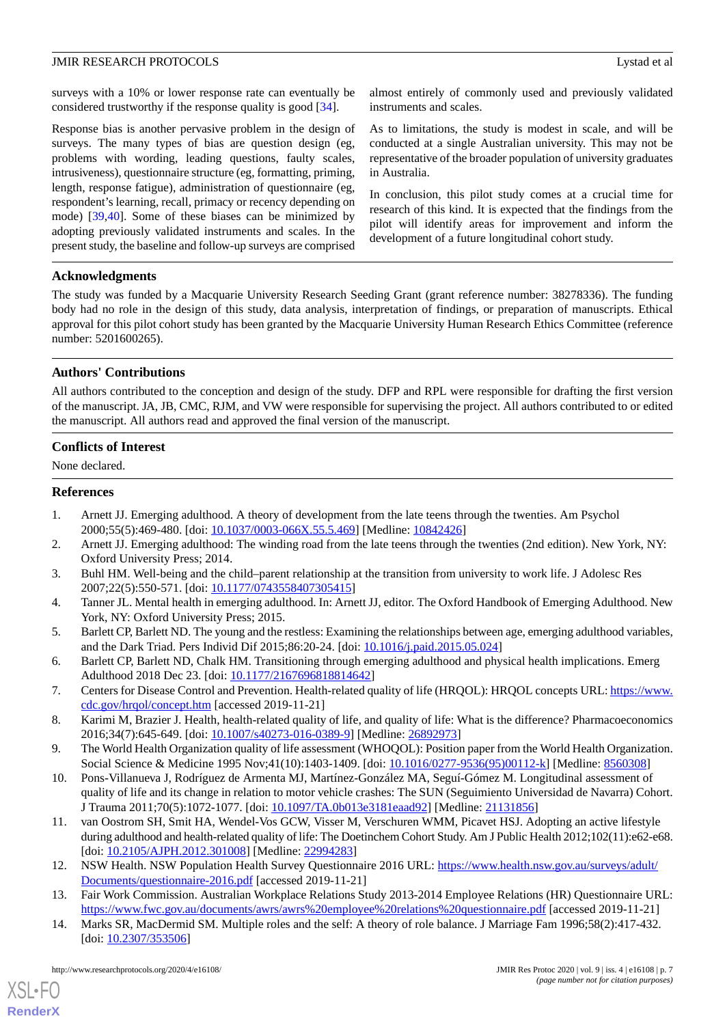surveys with a 10% or lower response rate can eventually be considered trustworthy if the response quality is good [[34\]](#page-7-18).

Response bias is another pervasive problem in the design of surveys. The many types of bias are question design (eg, problems with wording, leading questions, faulty scales, intrusiveness), questionnaire structure (eg, formatting, priming, length, response fatigue), administration of questionnaire (eg, respondent's learning, recall, primacy or recency depending on mode) [[39](#page-7-22)[,40](#page-7-23)]. Some of these biases can be minimized by adopting previously validated instruments and scales. In the present study, the baseline and follow-up surveys are comprised almost entirely of commonly used and previously validated instruments and scales.

As to limitations, the study is modest in scale, and will be conducted at a single Australian university. This may not be representative of the broader population of university graduates in Australia.

In conclusion, this pilot study comes at a crucial time for research of this kind. It is expected that the findings from the pilot will identify areas for improvement and inform the development of a future longitudinal cohort study.

# **Acknowledgments**

The study was funded by a Macquarie University Research Seeding Grant (grant reference number: 38278336). The funding body had no role in the design of this study, data analysis, interpretation of findings, or preparation of manuscripts. Ethical approval for this pilot cohort study has been granted by the Macquarie University Human Research Ethics Committee (reference number: 5201600265).

# **Authors' Contributions**

All authors contributed to the conception and design of the study. DFP and RPL were responsible for drafting the first version of the manuscript. JA, JB, CMC, RJM, and VW were responsible for supervising the project. All authors contributed to or edited the manuscript. All authors read and approved the final version of the manuscript.

# **Conflicts of Interest**

<span id="page-6-0"></span>None declared.

# <span id="page-6-1"></span>**References**

- <span id="page-6-2"></span>1. Arnett JJ. Emerging adulthood. A theory of development from the late teens through the twenties. Am Psychol 2000;55(5):469-480. [doi: [10.1037/0003-066X.55.5.469\]](http://dx.doi.org/10.1037/0003-066X.55.5.469) [Medline: [10842426\]](http://www.ncbi.nlm.nih.gov/entrez/query.fcgi?cmd=Retrieve&db=PubMed&list_uids=10842426&dopt=Abstract)
- <span id="page-6-3"></span>2. Arnett JJ. Emerging adulthood: The winding road from the late teens through the twenties (2nd edition). New York, NY: Oxford University Press; 2014.
- <span id="page-6-4"></span>3. Buhl HM. Well-being and the child–parent relationship at the transition from university to work life. J Adolesc Res 2007;22(5):550-571. [doi: [10.1177/0743558407305415\]](http://dx.doi.org/10.1177/0743558407305415)
- <span id="page-6-5"></span>4. Tanner JL. Mental health in emerging adulthood. In: Arnett JJ, editor. The Oxford Handbook of Emerging Adulthood. New York, NY: Oxford University Press; 2015.
- <span id="page-6-6"></span>5. Barlett CP, Barlett ND. The young and the restless: Examining the relationships between age, emerging adulthood variables, and the Dark Triad. Pers Individ Dif 2015;86:20-24. [doi: [10.1016/j.paid.2015.05.024](http://dx.doi.org/10.1016/j.paid.2015.05.024)]
- <span id="page-6-8"></span><span id="page-6-7"></span>6. Barlett CP, Barlett ND, Chalk HM. Transitioning through emerging adulthood and physical health implications. Emerg Adulthood 2018 Dec 23. [doi: [10.1177/2167696818814642\]](http://dx.doi.org/10.1177/2167696818814642)
- <span id="page-6-9"></span>7. Centers for Disease Control and Prevention. Health-related quality of life (HRQOL): HRQOL concepts URL: [https://www.](https://www.cdc.gov/hrqol/concept.htm) [cdc.gov/hrqol/concept.htm](https://www.cdc.gov/hrqol/concept.htm) [accessed 2019-11-21]
- 8. Karimi M, Brazier J. Health, health-related quality of life, and quality of life: What is the difference? Pharmacoeconomics 2016;34(7):645-649. [doi: [10.1007/s40273-016-0389-9\]](http://dx.doi.org/10.1007/s40273-016-0389-9) [Medline: [26892973](http://www.ncbi.nlm.nih.gov/entrez/query.fcgi?cmd=Retrieve&db=PubMed&list_uids=26892973&dopt=Abstract)]
- <span id="page-6-10"></span>9. The World Health Organization quality of life assessment (WHOQOL): Position paper from the World Health Organization. Social Science & Medicine 1995 Nov;41(10):1403-1409. [doi: [10.1016/0277-9536\(95\)00112-k](http://dx.doi.org/10.1016/0277-9536(95)00112-k)] [Medline: [8560308](http://www.ncbi.nlm.nih.gov/entrez/query.fcgi?cmd=Retrieve&db=PubMed&list_uids=8560308&dopt=Abstract)]
- <span id="page-6-11"></span>10. Pons-Villanueva J, Rodríguez de Armenta MJ, Martínez-González MA, Seguí-Gómez M. Longitudinal assessment of quality of life and its change in relation to motor vehicle crashes: The SUN (Seguimiento Universidad de Navarra) Cohort. J Trauma 2011;70(5):1072-1077. [doi: [10.1097/TA.0b013e3181eaad92](http://dx.doi.org/10.1097/TA.0b013e3181eaad92)] [Medline: [21131856\]](http://www.ncbi.nlm.nih.gov/entrez/query.fcgi?cmd=Retrieve&db=PubMed&list_uids=21131856&dopt=Abstract)
- <span id="page-6-13"></span><span id="page-6-12"></span>11. van Oostrom SH, Smit HA, Wendel-Vos GCW, Visser M, Verschuren WMM, Picavet HSJ. Adopting an active lifestyle during adulthood and health-related quality of life: The Doetinchem Cohort Study. Am J Public Health 2012;102(11):e62-e68. [doi: [10.2105/AJPH.2012.301008](http://dx.doi.org/10.2105/AJPH.2012.301008)] [Medline: [22994283\]](http://www.ncbi.nlm.nih.gov/entrez/query.fcgi?cmd=Retrieve&db=PubMed&list_uids=22994283&dopt=Abstract)
- 12. NSW Health. NSW Population Health Survey Questionnaire 2016 URL: [https://www.health.nsw.gov.au/surveys/adult/](https://www.health.nsw.gov.au/surveys/adult/Documents/questionnaire-2016.pdf) [Documents/questionnaire-2016.pdf](https://www.health.nsw.gov.au/surveys/adult/Documents/questionnaire-2016.pdf) [accessed 2019-11-21]
- 13. Fair Work Commission. Australian Workplace Relations Study 2013-2014 Employee Relations (HR) Questionnaire URL: <https://www.fwc.gov.au/documents/awrs/awrs%20employee%20relations%20questionnaire.pdf> [accessed 2019-11-21]
- 14. Marks SR, MacDermid SM. Multiple roles and the self: A theory of role balance. J Marriage Fam 1996;58(2):417-432. [doi: [10.2307/353506](http://dx.doi.org/10.2307/353506)]

[XSL](http://www.w3.org/Style/XSL)•FO **[RenderX](http://www.renderx.com/)**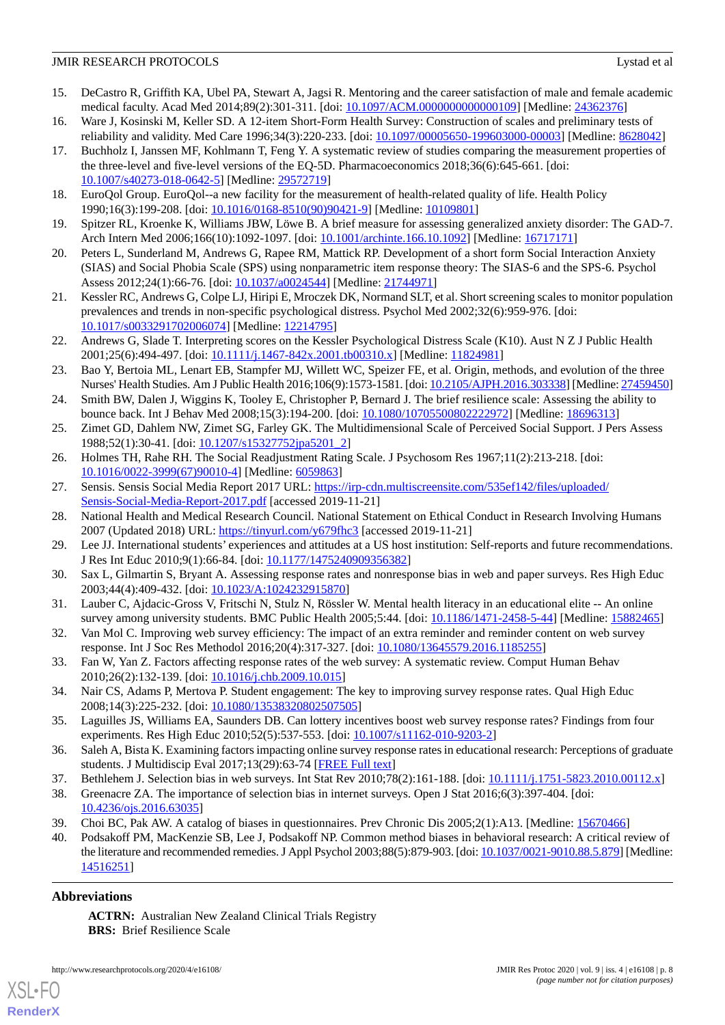- <span id="page-7-0"></span>15. DeCastro R, Griffith KA, Ubel PA, Stewart A, Jagsi R. Mentoring and the career satisfaction of male and female academic medical faculty. Acad Med 2014;89(2):301-311. [doi: [10.1097/ACM.0000000000000109](http://dx.doi.org/10.1097/ACM.0000000000000109)] [Medline: [24362376](http://www.ncbi.nlm.nih.gov/entrez/query.fcgi?cmd=Retrieve&db=PubMed&list_uids=24362376&dopt=Abstract)]
- <span id="page-7-1"></span>16. Ware J, Kosinski M, Keller SD. A 12-item Short-Form Health Survey: Construction of scales and preliminary tests of reliability and validity. Med Care 1996;34(3):220-233. [doi: [10.1097/00005650-199603000-00003\]](http://dx.doi.org/10.1097/00005650-199603000-00003) [Medline: [8628042](http://www.ncbi.nlm.nih.gov/entrez/query.fcgi?cmd=Retrieve&db=PubMed&list_uids=8628042&dopt=Abstract)]
- <span id="page-7-2"></span>17. Buchholz I, Janssen MF, Kohlmann T, Feng Y. A systematic review of studies comparing the measurement properties of the three-level and five-level versions of the EQ-5D. Pharmacoeconomics 2018;36(6):645-661. [doi: [10.1007/s40273-018-0642-5\]](http://dx.doi.org/10.1007/s40273-018-0642-5) [Medline: [29572719](http://www.ncbi.nlm.nih.gov/entrez/query.fcgi?cmd=Retrieve&db=PubMed&list_uids=29572719&dopt=Abstract)]
- <span id="page-7-4"></span><span id="page-7-3"></span>18. EuroQol Group. EuroQol--a new facility for the measurement of health-related quality of life. Health Policy 1990;16(3):199-208. [doi: [10.1016/0168-8510\(90\)90421-9](http://dx.doi.org/10.1016/0168-8510(90)90421-9)] [Medline: [10109801\]](http://www.ncbi.nlm.nih.gov/entrez/query.fcgi?cmd=Retrieve&db=PubMed&list_uids=10109801&dopt=Abstract)
- <span id="page-7-5"></span>19. Spitzer RL, Kroenke K, Williams JBW, Löwe B. A brief measure for assessing generalized anxiety disorder: The GAD-7. Arch Intern Med 2006;166(10):1092-1097. [doi: [10.1001/archinte.166.10.1092](http://dx.doi.org/10.1001/archinte.166.10.1092)] [Medline: [16717171\]](http://www.ncbi.nlm.nih.gov/entrez/query.fcgi?cmd=Retrieve&db=PubMed&list_uids=16717171&dopt=Abstract)
- <span id="page-7-6"></span>20. Peters L, Sunderland M, Andrews G, Rapee RM, Mattick RP. Development of a short form Social Interaction Anxiety (SIAS) and Social Phobia Scale (SPS) using nonparametric item response theory: The SIAS-6 and the SPS-6. Psychol Assess 2012;24(1):66-76. [doi: [10.1037/a0024544\]](http://dx.doi.org/10.1037/a0024544) [Medline: [21744971\]](http://www.ncbi.nlm.nih.gov/entrez/query.fcgi?cmd=Retrieve&db=PubMed&list_uids=21744971&dopt=Abstract)
- <span id="page-7-7"></span>21. Kessler RC, Andrews G, Colpe LJ, Hiripi E, Mroczek DK, Normand SLT, et al. Short screening scales to monitor population prevalences and trends in non-specific psychological distress. Psychol Med 2002;32(6):959-976. [doi: [10.1017/s0033291702006074\]](http://dx.doi.org/10.1017/s0033291702006074) [Medline: [12214795\]](http://www.ncbi.nlm.nih.gov/entrez/query.fcgi?cmd=Retrieve&db=PubMed&list_uids=12214795&dopt=Abstract)
- <span id="page-7-8"></span>22. Andrews G, Slade T. Interpreting scores on the Kessler Psychological Distress Scale (K10). Aust N Z J Public Health 2001;25(6):494-497. [doi: [10.1111/j.1467-842x.2001.tb00310.x\]](http://dx.doi.org/10.1111/j.1467-842x.2001.tb00310.x) [Medline: [11824981](http://www.ncbi.nlm.nih.gov/entrez/query.fcgi?cmd=Retrieve&db=PubMed&list_uids=11824981&dopt=Abstract)]
- <span id="page-7-9"></span>23. Bao Y, Bertoia ML, Lenart EB, Stampfer MJ, Willett WC, Speizer FE, et al. Origin, methods, and evolution of the three Nurses' Health Studies. Am J Public Health 2016;106(9):1573-1581. [doi: [10.2105/AJPH.2016.303338\]](http://dx.doi.org/10.2105/AJPH.2016.303338) [Medline: [27459450\]](http://www.ncbi.nlm.nih.gov/entrez/query.fcgi?cmd=Retrieve&db=PubMed&list_uids=27459450&dopt=Abstract)
- <span id="page-7-11"></span><span id="page-7-10"></span>24. Smith BW, Dalen J, Wiggins K, Tooley E, Christopher P, Bernard J. The brief resilience scale: Assessing the ability to bounce back. Int J Behav Med 2008;15(3):194-200. [doi: [10.1080/10705500802222972\]](http://dx.doi.org/10.1080/10705500802222972) [Medline: [18696313\]](http://www.ncbi.nlm.nih.gov/entrez/query.fcgi?cmd=Retrieve&db=PubMed&list_uids=18696313&dopt=Abstract)
- <span id="page-7-12"></span>25. Zimet GD, Dahlem NW, Zimet SG, Farley GK. The Multidimensional Scale of Perceived Social Support. J Pers Assess 1988;52(1):30-41. [doi: [10.1207/s15327752jpa5201\\_2\]](http://dx.doi.org/10.1207/s15327752jpa5201_2)
- <span id="page-7-13"></span>26. Holmes TH, Rahe RH. The Social Readjustment Rating Scale. J Psychosom Res 1967;11(2):213-218. [doi: [10.1016/0022-3999\(67\)90010-4](http://dx.doi.org/10.1016/0022-3999(67)90010-4)] [Medline: [6059863\]](http://www.ncbi.nlm.nih.gov/entrez/query.fcgi?cmd=Retrieve&db=PubMed&list_uids=6059863&dopt=Abstract)
- <span id="page-7-14"></span>27. Sensis. Sensis Social Media Report 2017 URL: [https://irp-cdn.multiscreensite.com/535ef142/files/uploaded/](https://irp-cdn.multiscreensite.com/535ef142/files/uploaded/Sensis-Social-Media-Report-2017.pdf) [Sensis-Social-Media-Report-2017.pdf](https://irp-cdn.multiscreensite.com/535ef142/files/uploaded/Sensis-Social-Media-Report-2017.pdf) [accessed 2019-11-21]
- 28. National Health and Medical Research Council. National Statement on Ethical Conduct in Research Involving Humans 2007 (Updated 2018) URL: <https://tinyurl.com/y679fhc3> [accessed 2019-11-21]
- <span id="page-7-15"></span>29. Lee JJ. International students' experiences and attitudes at a US host institution: Self-reports and future recommendations. J Res Int Educ 2010;9(1):66-84. [doi: [10.1177/1475240909356382](http://dx.doi.org/10.1177/1475240909356382)]
- <span id="page-7-16"></span>30. Sax L, Gilmartin S, Bryant A. Assessing response rates and nonresponse bias in web and paper surveys. Res High Educ 2003;44(4):409-432. [doi: [10.1023/A:1024232915870\]](http://dx.doi.org/10.1023/A:1024232915870)
- <span id="page-7-17"></span>31. Lauber C, Ajdacic-Gross V, Fritschi N, Stulz N, Rössler W. Mental health literacy in an educational elite -- An online survey among university students. BMC Public Health 2005;5:44. [doi: [10.1186/1471-2458-5-44](http://dx.doi.org/10.1186/1471-2458-5-44)] [Medline: [15882465\]](http://www.ncbi.nlm.nih.gov/entrez/query.fcgi?cmd=Retrieve&db=PubMed&list_uids=15882465&dopt=Abstract)
- <span id="page-7-18"></span>32. Van Mol C. Improving web survey efficiency: The impact of an extra reminder and reminder content on web survey response. Int J Soc Res Methodol 2016;20(4):317-327. [doi: [10.1080/13645579.2016.1185255](http://dx.doi.org/10.1080/13645579.2016.1185255)]
- <span id="page-7-19"></span>33. Fan W, Yan Z. Factors affecting response rates of the web survey: A systematic review. Comput Human Behav 2010;26(2):132-139. [doi: [10.1016/j.chb.2009.10.015\]](http://dx.doi.org/10.1016/j.chb.2009.10.015)
- <span id="page-7-20"></span>34. Nair CS, Adams P, Mertova P. Student engagement: The key to improving survey response rates. Qual High Educ 2008;14(3):225-232. [doi: [10.1080/13538320802507505\]](http://dx.doi.org/10.1080/13538320802507505)
- <span id="page-7-21"></span>35. Laguilles JS, Williams EA, Saunders DB. Can lottery incentives boost web survey response rates? Findings from four experiments. Res High Educ 2010;52(5):537-553. [doi: [10.1007/s11162-010-9203-2](http://dx.doi.org/10.1007/s11162-010-9203-2)]
- <span id="page-7-23"></span><span id="page-7-22"></span>36. Saleh A, Bista K. Examining factors impacting online survey response rates in educational research: Perceptions of graduate students. J Multidiscip Eval 2017;13(29):63-74 [\[FREE Full text\]](http://journals.sfu.ca/jmde/index.php/jmde_1/article/view/487)
- 37. Bethlehem J. Selection bias in web surveys. Int Stat Rev 2010;78(2):161-188. [doi: [10.1111/j.1751-5823.2010.00112.x\]](http://dx.doi.org/10.1111/j.1751-5823.2010.00112.x)
- 38. Greenacre ZA. The importance of selection bias in internet surveys. Open J Stat 2016;6(3):397-404. [doi: [10.4236/ojs.2016.63035\]](http://dx.doi.org/10.4236/ojs.2016.63035)
- 39. Choi BC, Pak AW. A catalog of biases in questionnaires. Prev Chronic Dis 2005;2(1):A13. [Medline: [15670466\]](http://www.ncbi.nlm.nih.gov/entrez/query.fcgi?cmd=Retrieve&db=PubMed&list_uids=15670466&dopt=Abstract)
- 40. Podsakoff PM, MacKenzie SB, Lee J, Podsakoff NP. Common method biases in behavioral research: A critical review of the literature and recommended remedies. J Appl Psychol 2003;88(5):879-903. [doi: [10.1037/0021-9010.88.5.879\]](http://dx.doi.org/10.1037/0021-9010.88.5.879) [Medline: [14516251](http://www.ncbi.nlm.nih.gov/entrez/query.fcgi?cmd=Retrieve&db=PubMed&list_uids=14516251&dopt=Abstract)]

# **Abbreviations**

[XSL](http://www.w3.org/Style/XSL)•FO **[RenderX](http://www.renderx.com/)**

**ACTRN:** Australian New Zealand Clinical Trials Registry **BRS:** Brief Resilience Scale